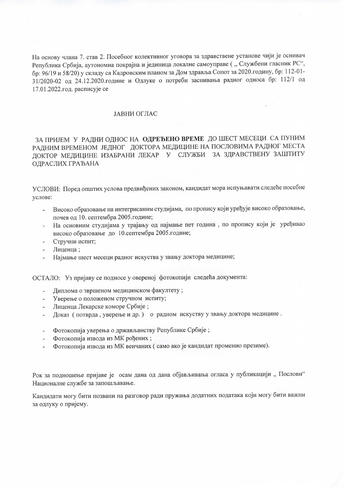На основу члана 7. став 2. Посебног колективног уговора за здравствене установе чији је оснивач Република Србија, аутономна покрајна и јединица локалне самоуправе ("Службени гласник РС", бр: 96/19 и 58/20) у складу са Кадровским планом за Дом здравља Сопот за 2020. годину, бр: 112-01-31/2020-02 од 24.12.2020.године и Одлуке о потреби заснивања радног односа бр: 112/1 од 17.01.2022.год. расписује се

## ЈАВНИ ОГЛАС

ЗА ПРИЈЕМ У РАДНИ ОДНОС НА ОДРЕЂЕНО ВРЕМЕ ДО ШЕСТ МЕСЕЦИ СА ПУНИМ РАДНИМ ВРЕМЕНОМ ЈЕДНОГ ДОКТОРА МЕДИЦИНЕ НА ПОСЛОВИМА РАДНОГ МЕСТА ДОКТОР МЕДИЦИНЕ ИЗАБРАНИ ЛЕКАР У СЛУЖБИ ЗА ЗДРАВСТВЕНУ ЗАШТИТУ ОДРАСЛИХ ГРАЂАНА

УСЛОВИ: Поред општих услова предвиђених законом, кандидат мора испуњавати следеће посебне услове:

- Високо образовање на интегрисаним студијама, по пропису који уређује високо образовање,  $\blacksquare$ почев од 10. септембра 2005. године;
- На основним студијама у трајању од најмање пет година, по пропису који је уређивао високо образовање до 10.септембра 2005.године;
- Стручни испит:
- Лиценца:
- Најмање шест месеци радног искуства у звању доктора медицине;

ОСТАЛО: Уз пријаву се подносе у овереној фотокопији следећа документа:

- Диплома о звршеном медицинском факултету;
- Уверење о положеном стручном испиту;
- Лиценца Лекарске коморе Србије;
- Доказ (потврда, уверење и др.) о радном искуству у звању доктора медицине.
- Фотокопија уверења о држављанству Републике Србије;
- Фотокопија извода из МК рођених;  $\omega$  .
- Фотокопија извода из МК венчаних (само ако је кандидат променио презиме).

Рок за подношење пријаве је осам дана од дана објављивања огласа у публикацији "Послови" Националне службе за запошљавање.

Кандидати могу бити позвани на разговор ради пружања додатних података који могу бити важни за одлуку о пријему.